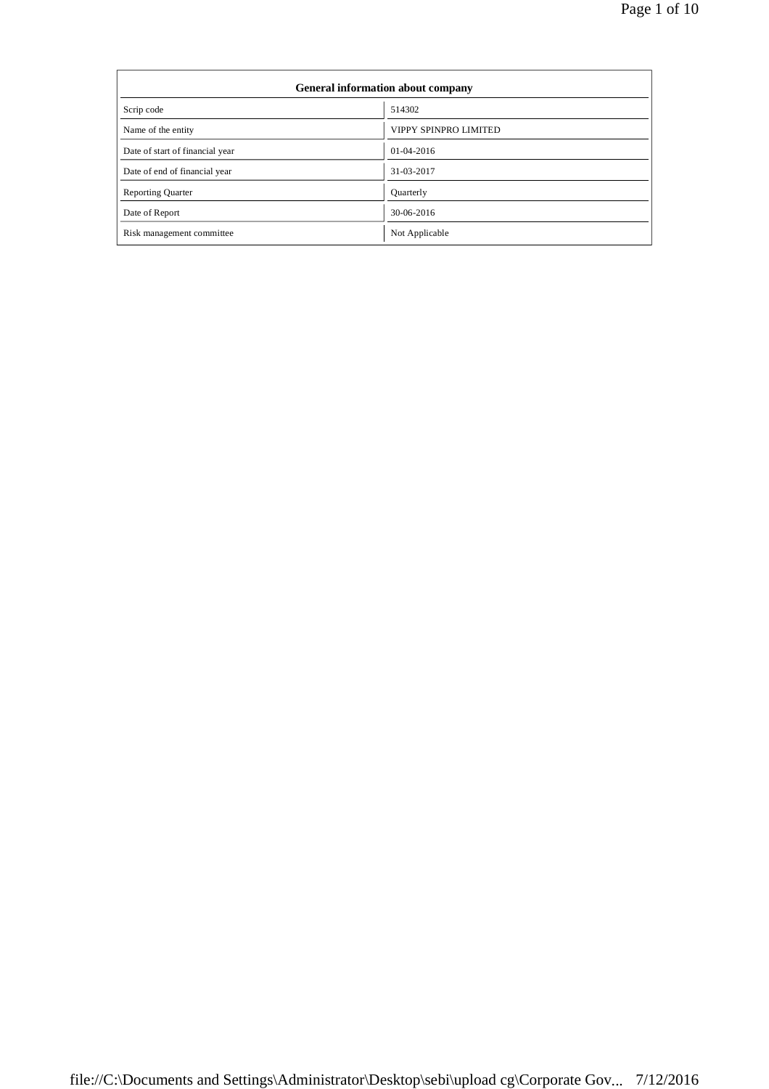| General information about company |                       |  |  |  |
|-----------------------------------|-----------------------|--|--|--|
| Scrip code                        | 514302                |  |  |  |
| Name of the entity                | VIPPY SPINPRO LIMITED |  |  |  |
| Date of start of financial year   | $01-04-2016$          |  |  |  |
| Date of end of financial year     | 31-03-2017            |  |  |  |
| <b>Reporting Quarter</b>          | <b>Quarterly</b>      |  |  |  |
| Date of Report                    | 30-06-2016            |  |  |  |
| Risk management committee         | Not Applicable        |  |  |  |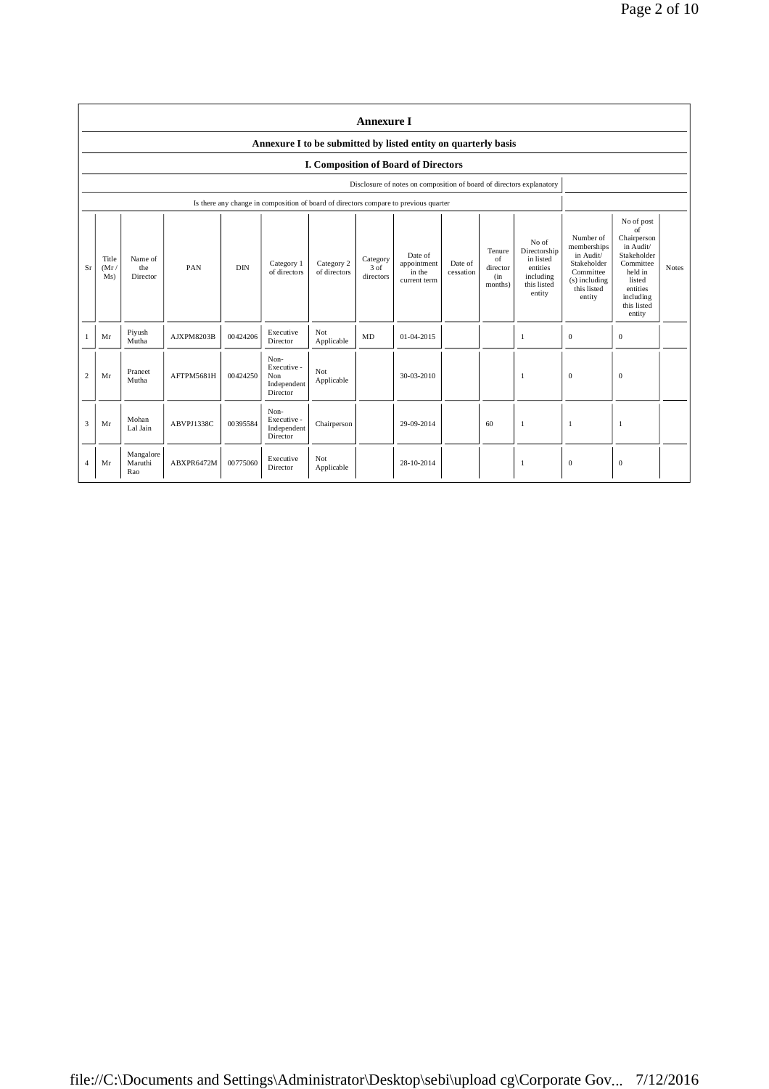|                       | <b>Annexure I</b>                                              |                             |            |            |                                                                                      |                            |                                 |                                                                      |                      |                                            |                                                                                      |                                                                                                             |                                                                                                                                                 |       |
|-----------------------|----------------------------------------------------------------|-----------------------------|------------|------------|--------------------------------------------------------------------------------------|----------------------------|---------------------------------|----------------------------------------------------------------------|----------------------|--------------------------------------------|--------------------------------------------------------------------------------------|-------------------------------------------------------------------------------------------------------------|-------------------------------------------------------------------------------------------------------------------------------------------------|-------|
|                       | Annexure I to be submitted by listed entity on quarterly basis |                             |            |            |                                                                                      |                            |                                 |                                                                      |                      |                                            |                                                                                      |                                                                                                             |                                                                                                                                                 |       |
|                       |                                                                |                             |            |            |                                                                                      |                            |                                 | I. Composition of Board of Directors                                 |                      |                                            |                                                                                      |                                                                                                             |                                                                                                                                                 |       |
|                       |                                                                |                             |            |            |                                                                                      |                            |                                 | Disclosure of notes on composition of board of directors explanatory |                      |                                            |                                                                                      |                                                                                                             |                                                                                                                                                 |       |
|                       |                                                                |                             |            |            | Is there any change in composition of board of directors compare to previous quarter |                            |                                 |                                                                      |                      |                                            |                                                                                      |                                                                                                             |                                                                                                                                                 |       |
| Sr                    | Title<br>(Mr)<br>Ms)                                           | Name of<br>the<br>Director  | PAN        | <b>DIN</b> | Category 1<br>of directors                                                           | Category 2<br>of directors | Category<br>$3$ of<br>directors | Date of<br>appointment<br>in the<br>current term                     | Date of<br>cessation | Tenure<br>of<br>director<br>(in<br>months) | No of<br>Directorship<br>in listed<br>entities<br>including<br>this listed<br>entity | Number of<br>memberships<br>in Audit/<br>Stakeholder<br>Committee<br>(s) including<br>this listed<br>entity | No of post<br>of<br>Chairperson<br>in Audit/<br>Stakeholder<br>Committee<br>held in<br>listed<br>entities<br>including<br>this listed<br>entity | Notes |
|                       | Mr                                                             | Piyush<br>Mutha             | AJXPM8203B | 00424206   | Executive<br>Director                                                                | Not<br>Applicable          | MD                              | $01 - 04 - 2015$                                                     |                      |                                            | 1                                                                                    | $\mathbf{0}$                                                                                                | $\mathbf{0}$                                                                                                                                    |       |
| $\overline{2}$        | Mr                                                             | Praneet<br>Mutha            | AFTPM5681H | 00424250   | Non-<br>Executive -<br>Non<br>Independent<br>Director                                | Not<br>Applicable          |                                 | 30-03-2010                                                           |                      |                                            | 1                                                                                    | $\mathbf{0}$                                                                                                | $\theta$                                                                                                                                        |       |
| 3                     | Mr                                                             | Mohan<br>Lal Jain           | ABVPJ1338C | 00395584   | Non-<br>Executive -<br>Independent<br>Director                                       | Chairperson                |                                 | 29-09-2014                                                           |                      | 60                                         | $\mathbf{1}$                                                                         | 1                                                                                                           | -1                                                                                                                                              |       |
| $\boldsymbol{\Delta}$ | Mr                                                             | Mangalore<br>Maruthi<br>Rao | ABXPR6472M | 00775060   | Executive<br>Director                                                                | Not<br>Applicable          |                                 | 28-10-2014                                                           |                      |                                            | $\mathbf{1}$                                                                         | $\mathbf{0}$                                                                                                | $\mathbf{0}$                                                                                                                                    |       |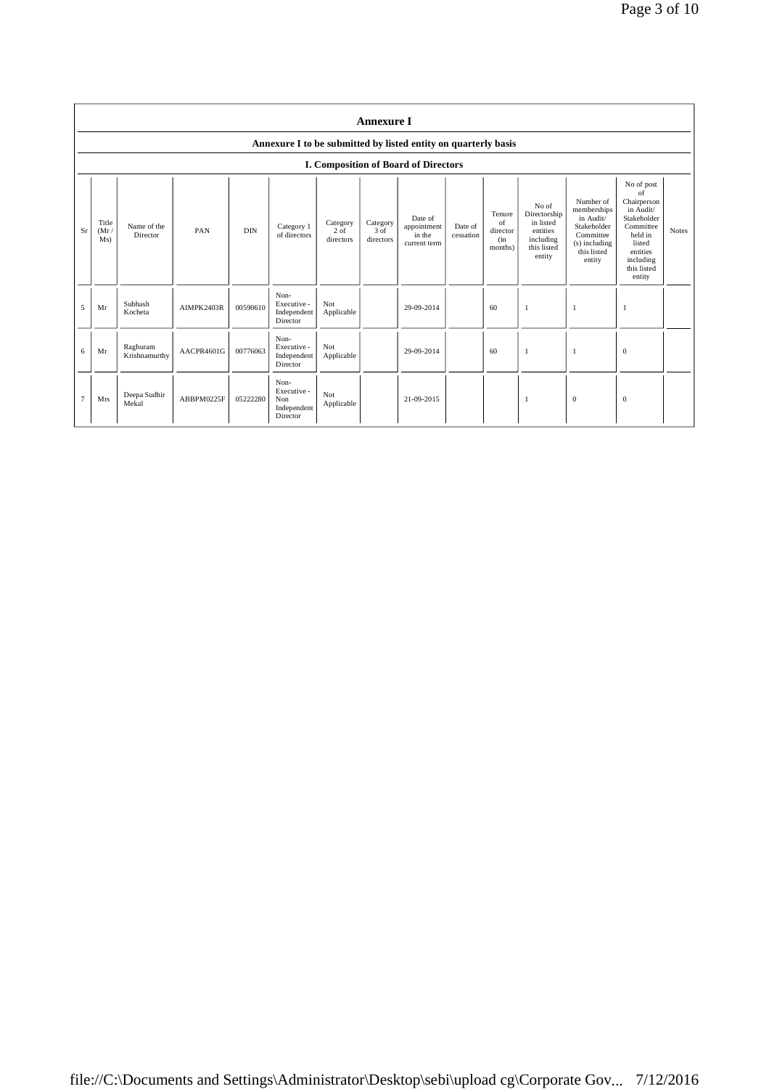|                | <b>Annexure I</b>    |                           |            |            |                                                       |                                 |                               |                                                                |                      |                                            |                                                                                      |                                                                                                               |                                                                                                                                                 |              |
|----------------|----------------------|---------------------------|------------|------------|-------------------------------------------------------|---------------------------------|-------------------------------|----------------------------------------------------------------|----------------------|--------------------------------------------|--------------------------------------------------------------------------------------|---------------------------------------------------------------------------------------------------------------|-------------------------------------------------------------------------------------------------------------------------------------------------|--------------|
|                |                      |                           |            |            |                                                       |                                 |                               | Annexure I to be submitted by listed entity on quarterly basis |                      |                                            |                                                                                      |                                                                                                               |                                                                                                                                                 |              |
|                |                      |                           |            |            |                                                       |                                 |                               | I. Composition of Board of Directors                           |                      |                                            |                                                                                      |                                                                                                               |                                                                                                                                                 |              |
| Sr             | Title<br>(Mr)<br>Ms) | Name of the<br>Director   | PAN        | <b>DIN</b> | Category 1<br>of directors                            | Category<br>$2$ of<br>directors | Category<br>3 of<br>directors | Date of<br>appointment<br>in the<br>current term               | Date of<br>cessation | Tenure<br>of<br>director<br>(in<br>months) | No of<br>Directorship<br>in listed<br>entities<br>including<br>this listed<br>entity | Number of<br>memberships<br>in Audit/<br>Stakeholder<br>Committee<br>$(s)$ including<br>this listed<br>entity | No of post<br>of<br>Chairperson<br>in Audit/<br>Stakeholder<br>Committee<br>held in<br>listed<br>entities<br>including<br>this listed<br>entity | <b>Notes</b> |
| 5              | Mr                   | Subhash<br>Kocheta        | AIMPK2403R | 00590610   | Non-<br>Executive -<br>Independent<br>Director        | Not<br>Applicable               |                               | 29-09-2014                                                     |                      | 60                                         | -1                                                                                   | -1                                                                                                            | -1                                                                                                                                              |              |
| 6              | Mr                   | Raghuram<br>Krishnamurthy | AACPR4601G | 00776063   | Non-<br>Executive -<br>Independent<br>Director        | Not<br>Applicable               |                               | 29-09-2014                                                     |                      | 60                                         | $\mathbf{1}$                                                                         |                                                                                                               | $\mathbf{0}$                                                                                                                                    |              |
| $\overline{7}$ | Mrs                  | Deepa Sudhir<br>Mekal     | ABBPM0225F | 05222280   | Non-<br>Executive -<br>Non<br>Independent<br>Director | Not<br>Applicable               |                               | 21-09-2015                                                     |                      |                                            | $\mathbf{1}$                                                                         | $\boldsymbol{0}$                                                                                              | $\mathbf{0}$                                                                                                                                    |              |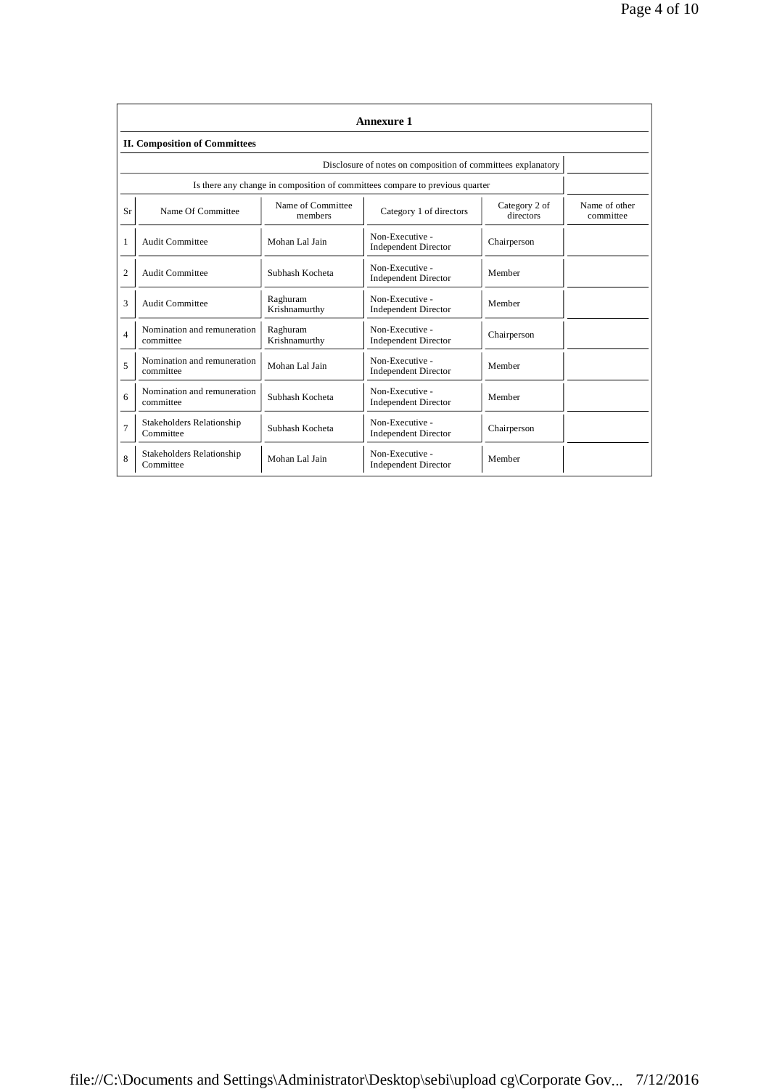|                | <b>Annexure 1</b>                                            |                              |                                                                              |                            |                            |  |  |  |  |
|----------------|--------------------------------------------------------------|------------------------------|------------------------------------------------------------------------------|----------------------------|----------------------------|--|--|--|--|
|                | <b>II. Composition of Committees</b>                         |                              |                                                                              |                            |                            |  |  |  |  |
|                | Disclosure of notes on composition of committees explanatory |                              |                                                                              |                            |                            |  |  |  |  |
|                |                                                              |                              | Is there any change in composition of committees compare to previous quarter |                            |                            |  |  |  |  |
| Sr             | Name Of Committee                                            | Name of Committee<br>members | Category 1 of directors                                                      | Category 2 of<br>directors | Name of other<br>committee |  |  |  |  |
| 1              | Audit Committee                                              | Mohan Lal Jain               | Non-Executive -<br><b>Independent Director</b>                               | Chairperson                |                            |  |  |  |  |
| $\overline{2}$ | Audit Committee                                              | Subhash Kocheta              | Non-Executive -<br><b>Independent Director</b>                               | Member                     |                            |  |  |  |  |
| 3              | Audit Committee                                              | Raghuram<br>Krishnamurthy    | Non-Executive -<br><b>Independent Director</b>                               | Member                     |                            |  |  |  |  |
| $\overline{4}$ | Nomination and remuneration<br>committee                     | Raghuram<br>Krishnamurthy    | Non-Executive -<br><b>Independent Director</b>                               | Chairperson                |                            |  |  |  |  |
| 5              | Nomination and remuneration<br>committee                     | Mohan Lal Jain               | Non-Executive -<br><b>Independent Director</b>                               | Member                     |                            |  |  |  |  |
| 6              | Nomination and remuneration<br>committee                     | Subhash Kocheta              | Non-Executive -<br><b>Independent Director</b>                               | Member                     |                            |  |  |  |  |
| $\overline{7}$ | Stakeholders Relationship<br>Committee                       | Subhash Kocheta              | Non-Executive -<br><b>Independent Director</b>                               | Chairperson                |                            |  |  |  |  |
| 8              | Stakeholders Relationship<br>Committee                       | Mohan Lal Jain               | Non-Executive -<br><b>Independent Director</b>                               | Member                     |                            |  |  |  |  |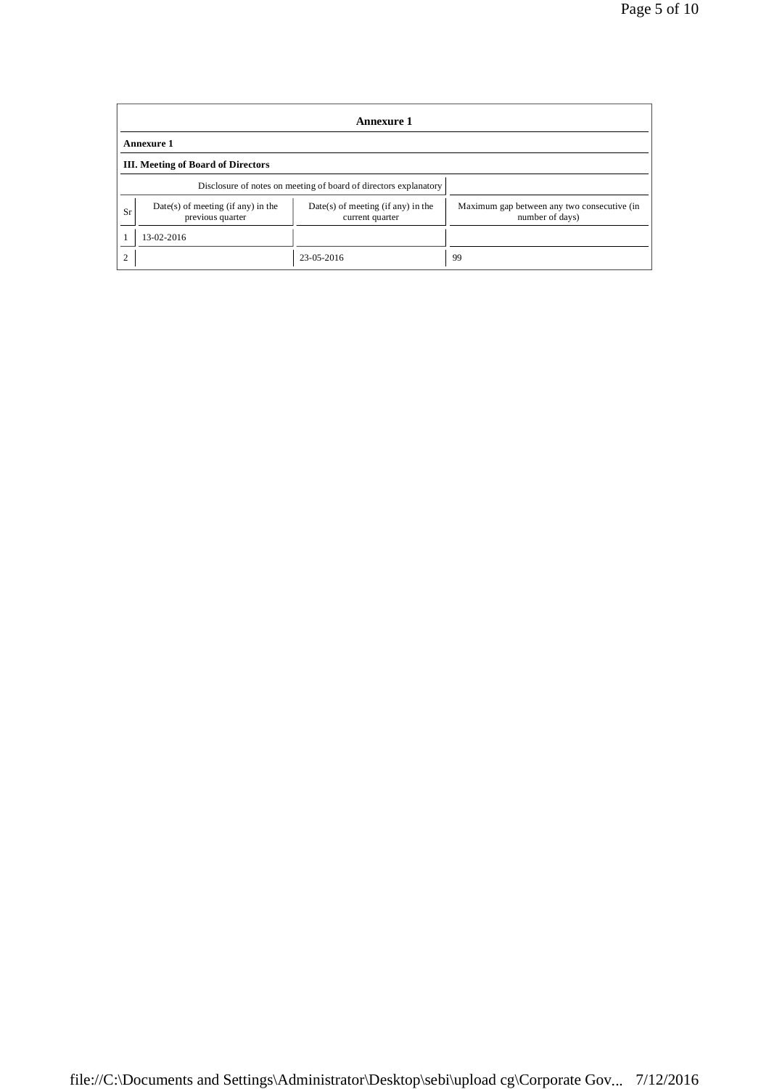|                | <b>Annexure 1</b>                                                |                                                         |                                                                |  |  |  |  |
|----------------|------------------------------------------------------------------|---------------------------------------------------------|----------------------------------------------------------------|--|--|--|--|
|                | <b>Annexure 1</b>                                                |                                                         |                                                                |  |  |  |  |
|                | <b>III.</b> Meeting of Board of Directors                        |                                                         |                                                                |  |  |  |  |
|                | Disclosure of notes on meeting of board of directors explanatory |                                                         |                                                                |  |  |  |  |
| Sr             | $Date(s)$ of meeting (if any) in the<br>previous quarter         | $Date(s)$ of meeting (if any) in the<br>current quarter | Maximum gap between any two consecutive (in<br>number of days) |  |  |  |  |
|                | 13-02-2016                                                       |                                                         |                                                                |  |  |  |  |
| $\overline{c}$ |                                                                  | 23-05-2016                                              | 99                                                             |  |  |  |  |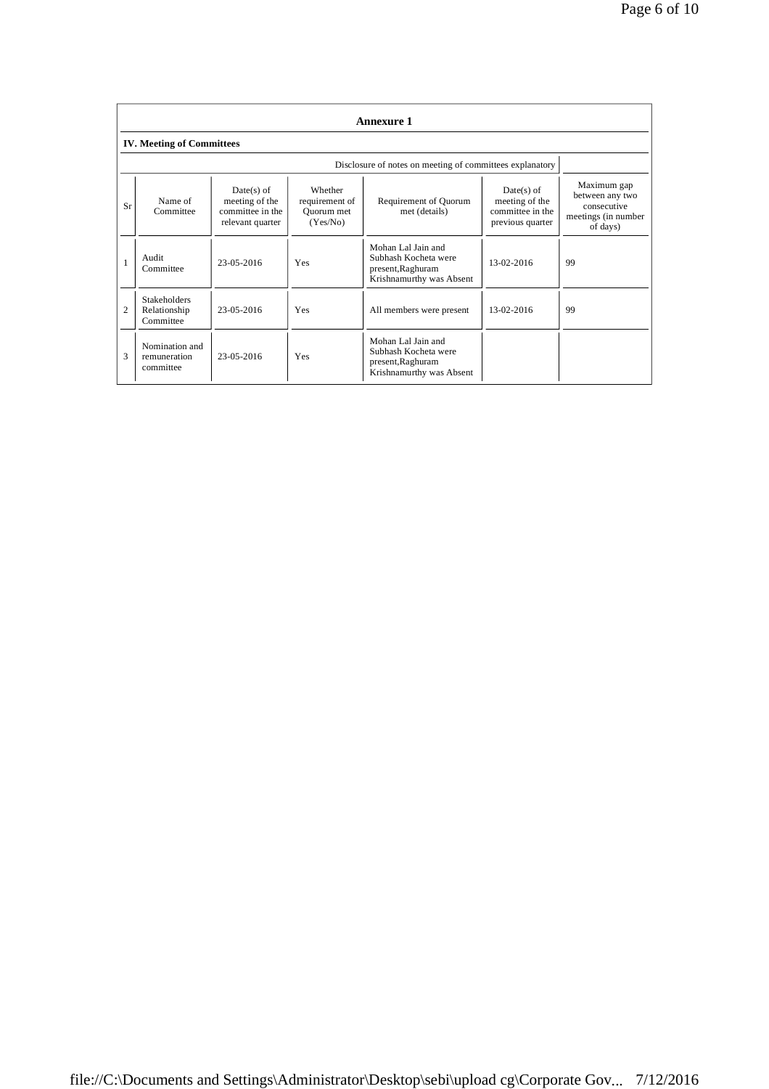|                | <b>Annexure 1</b>                                |                                                                        |                                                     |                                                                                             |                                                                        |                                                                                  |  |  |
|----------------|--------------------------------------------------|------------------------------------------------------------------------|-----------------------------------------------------|---------------------------------------------------------------------------------------------|------------------------------------------------------------------------|----------------------------------------------------------------------------------|--|--|
|                | <b>IV.</b> Meeting of Committees                 |                                                                        |                                                     |                                                                                             |                                                                        |                                                                                  |  |  |
|                |                                                  |                                                                        |                                                     | Disclosure of notes on meeting of committees explanatory                                    |                                                                        |                                                                                  |  |  |
| Sr             | Name of<br>Committee                             | $Date(s)$ of<br>meeting of the<br>committee in the<br>relevant quarter | Whether<br>requirement of<br>Quorum met<br>(Yes/No) | Requirement of Quorum<br>met (details)                                                      | $Date(s)$ of<br>meeting of the<br>committee in the<br>previous quarter | Maximum gap<br>between any two<br>consecutive<br>meetings (in number<br>of days) |  |  |
| $\mathbf{1}$   | Audit<br>Committee                               | 23-05-2016                                                             | Yes                                                 | Mohan Lal Jain and<br>Subhash Kocheta were<br>present, Raghuram<br>Krishnamurthy was Absent | 13-02-2016                                                             | 99                                                                               |  |  |
| $\overline{c}$ | <b>Stakeholders</b><br>Relationship<br>Committee | 23-05-2016                                                             | Yes                                                 | All members were present                                                                    | 13-02-2016                                                             | 99                                                                               |  |  |
| 3              | Nomination and<br>remuneration<br>committee      | 23-05-2016                                                             | Yes                                                 | Mohan Lal Jain and<br>Subhash Kocheta were<br>present, Raghuram<br>Krishnamurthy was Absent |                                                                        |                                                                                  |  |  |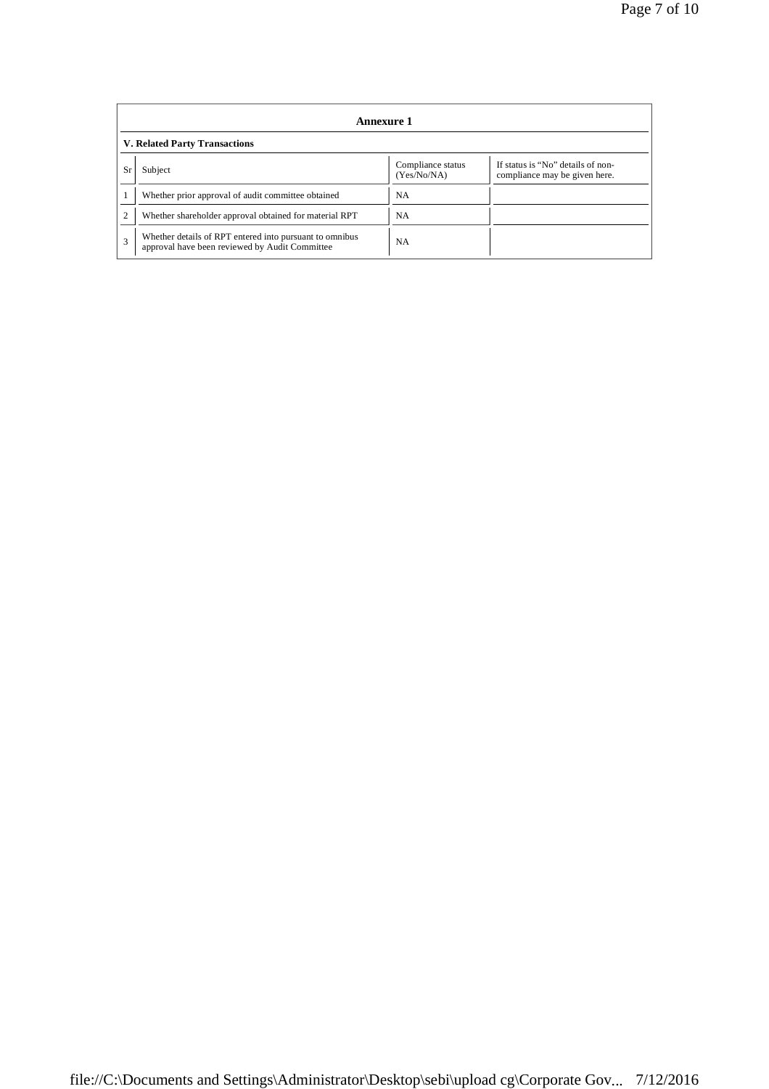|                | Annexure 1                                                                                                |                                  |                                                                    |  |  |  |
|----------------|-----------------------------------------------------------------------------------------------------------|----------------------------------|--------------------------------------------------------------------|--|--|--|
|                | <b>V. Related Party Transactions</b>                                                                      |                                  |                                                                    |  |  |  |
| Sr             | Subject                                                                                                   | Compliance status<br>(Yes/No/NA) | If status is "No" details of non-<br>compliance may be given here. |  |  |  |
|                | Whether prior approval of audit committee obtained                                                        | <b>NA</b>                        |                                                                    |  |  |  |
| $\overline{c}$ | Whether shareholder approval obtained for material RPT                                                    | <b>NA</b>                        |                                                                    |  |  |  |
| 3              | Whether details of RPT entered into pursuant to omnibus<br>approval have been reviewed by Audit Committee | NA.                              |                                                                    |  |  |  |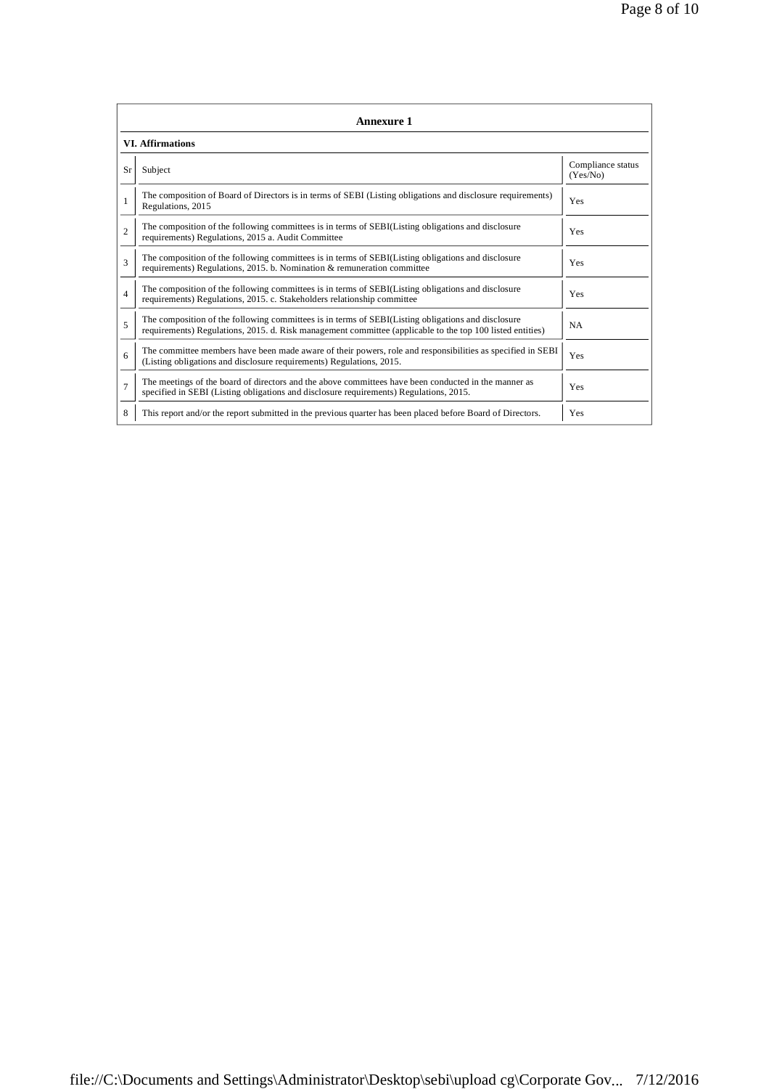|                | <b>Annexure 1</b>                                                                                                                                                                                               |                               |  |  |  |  |  |  |
|----------------|-----------------------------------------------------------------------------------------------------------------------------------------------------------------------------------------------------------------|-------------------------------|--|--|--|--|--|--|
|                | <b>VI.</b> Affirmations                                                                                                                                                                                         |                               |  |  |  |  |  |  |
| Sr             | Subject                                                                                                                                                                                                         | Compliance status<br>(Yes/No) |  |  |  |  |  |  |
| 1              | The composition of Board of Directors is in terms of SEBI (Listing obligations and disclosure requirements)<br>Regulations, 2015                                                                                | Yes                           |  |  |  |  |  |  |
| $\overline{2}$ | The composition of the following committees is in terms of SEBI(Listing obligations and disclosure<br>requirements) Regulations, 2015 a. Audit Committee                                                        | Yes                           |  |  |  |  |  |  |
| 3              | The composition of the following committees is in terms of SEBI(Listing obligations and disclosure<br>requirements) Regulations, 2015. b. Nomination & remuneration committee                                   | Yes                           |  |  |  |  |  |  |
| $\overline{4}$ | The composition of the following committees is in terms of SEBI(Listing obligations and disclosure<br>requirements) Regulations, 2015. c. Stakeholders relationship committee                                   | Yes                           |  |  |  |  |  |  |
| 5              | The composition of the following committees is in terms of SEBI(Listing obligations and disclosure<br>requirements) Regulations, 2015. d. Risk management committee (applicable to the top 100 listed entities) | <b>NA</b>                     |  |  |  |  |  |  |
| 6              | The committee members have been made aware of their powers, role and responsibilities as specified in SEBI<br>(Listing obligations and disclosure requirements) Regulations, 2015.                              | Yes                           |  |  |  |  |  |  |
| $\overline{7}$ | The meetings of the board of directors and the above committees have been conducted in the manner as<br>specified in SEBI (Listing obligations and disclosure requirements) Regulations, 2015.                  | Yes                           |  |  |  |  |  |  |
| 8              | This report and/or the report submitted in the previous quarter has been placed before Board of Directors.                                                                                                      | Yes                           |  |  |  |  |  |  |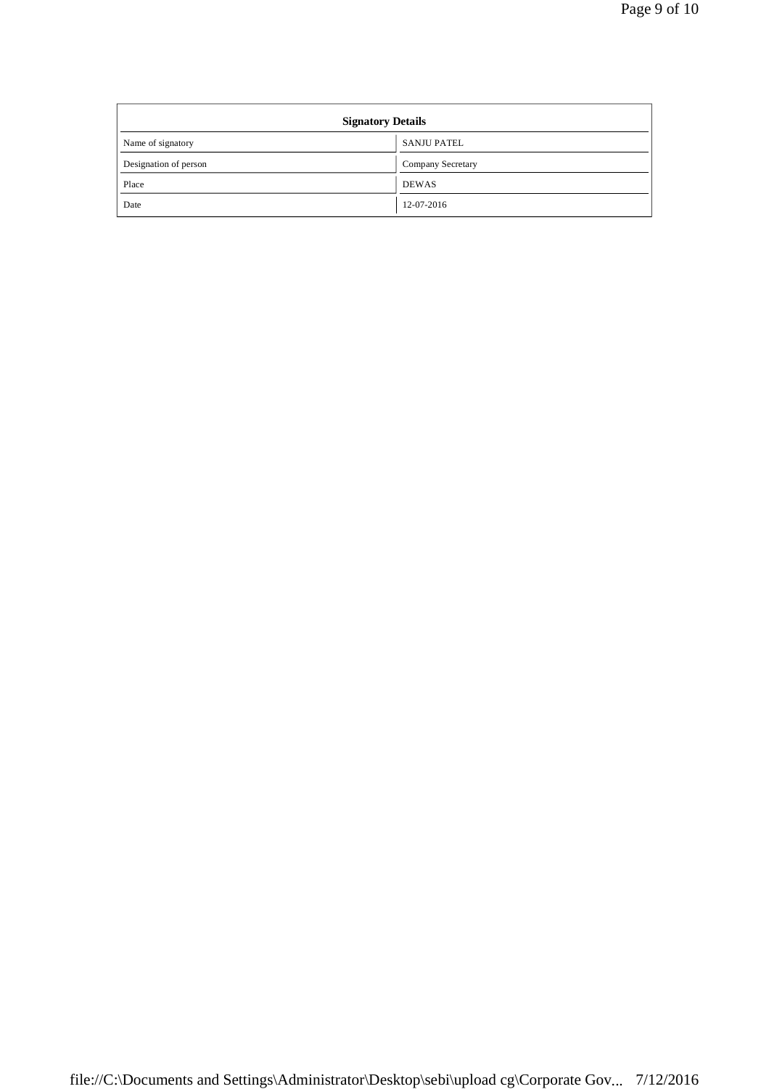| <b>Signatory Details</b> |                          |  |  |  |
|--------------------------|--------------------------|--|--|--|
| Name of signatory        | <b>SANJU PATEL</b>       |  |  |  |
| Designation of person    | <b>Company Secretary</b> |  |  |  |
| Place                    | <b>DEWAS</b>             |  |  |  |
| Date                     | 12-07-2016               |  |  |  |